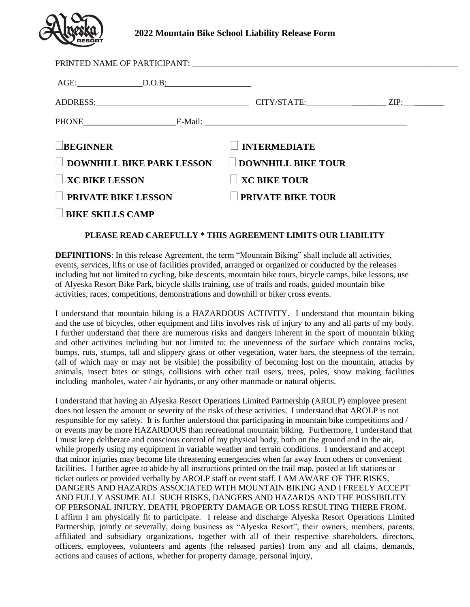

## **2022 Mountain Bike School Liability Release Form**

| $\text{AGE:}$ D.O.B.             |                           |  |
|----------------------------------|---------------------------|--|
|                                  |                           |  |
| PHONE E-Mail: E-Mail:            |                           |  |
| <b>BEGINNER</b>                  | <b>INTERMEDIATE</b>       |  |
| <b>DOWNHILL BIKE PARK LESSON</b> | <b>DOWNHILL BIKE TOUR</b> |  |
| $\Box$ XC BIKE LESSON            | <b>XC BIKE TOUR</b>       |  |
| PRIVATE BIKE LESSON              | <b>PRIVATE BIKE TOUR</b>  |  |
| <b>BIKE SKILLS CAMP</b>          |                           |  |

## **PLEASE READ CAREFULLY \* THIS AGREEMENT LIMITS OUR LIABILITY**

**DEFINITIONS:** In this release Agreement, the term "Mountain Biking" shall include all activities, events, services, lifts or use of facilities provided, arranged or organized or conducted by the releases including but not limited to cycling, bike descents, mountain bike tours, bicycle camps, bike lessons, use of Alyeska Resort Bike Park, bicycle skills training, use of trails and roads, guided mountain bike activities, races, competitions, demonstrations and downhill or biker cross events.

I understand that mountain biking is a HAZARDOUS ACTIVITY. I understand that mountain biking and the use of bicycles, other equipment and lifts involves risk of injury to any and all parts of my body. I further understand that there are numerous risks and dangers inherent in the sport of mountain biking and other activities including but not limited to: the unevenness of the surface which contains rocks, bumps, ruts, stumps, tall and slippery grass or other vegetation, water bars, the steepness of the terrain, (all of which may or may not be visible) the possibility of becoming lost on the mountain, attacks by animals, insect bites or stings, collisions with other trail users, trees, poles, snow making facilities including manholes, water / air hydrants, or any other manmade or natural objects.

I understand that having an Alyeska Resort Operations Limited Partnership (AROLP) employee present does not lessen the amount or severity of the risks of these activities. I understand that AROLP is not responsible for my safety. It is further understood that participating in mountain bike competitions and / or events may be more HAZARDOUS than recreational mountain biking. Furthermore, I understand that I must keep deliberate and conscious control of my physical body, both on the ground and in the air, while properly using my equipment in variable weather and terrain conditions. I understand and accept that minor injuries may become life threatening emergencies when far away from others or convenient facilities. I further agree to abide by all instructions printed on the trail map, posted at lift stations or ticket outlets or provided verbally by AROLP staff or event staff. I AM AWARE OF THE RISKS, DANGERS AND HAZARDS ASSOCIATED WITH MOUNTAIN BIKING AND I FREELY ACCEPT AND FULLY ASSUME ALL SUCH RISKS, DANGERS AND HAZARDS AND THE POSSIBILITY OF PERSONAL INJURY, DEATH, PROPERTY DAMAGE OR LOSS RESULTING THERE FROM. I affirm I am physically fit to participate. I release and discharge Alyeska Resort Operations Limited Partnership, jointly or severally, doing business as "Alyeska Resort", their owners, members, parents, affiliated and subsidiary organizations, together with all of their respective shareholders, directors, officers, employees, volunteers and agents (the released parties) from any and all claims, demands, actions and causes of actions, whether for property damage, personal injury,